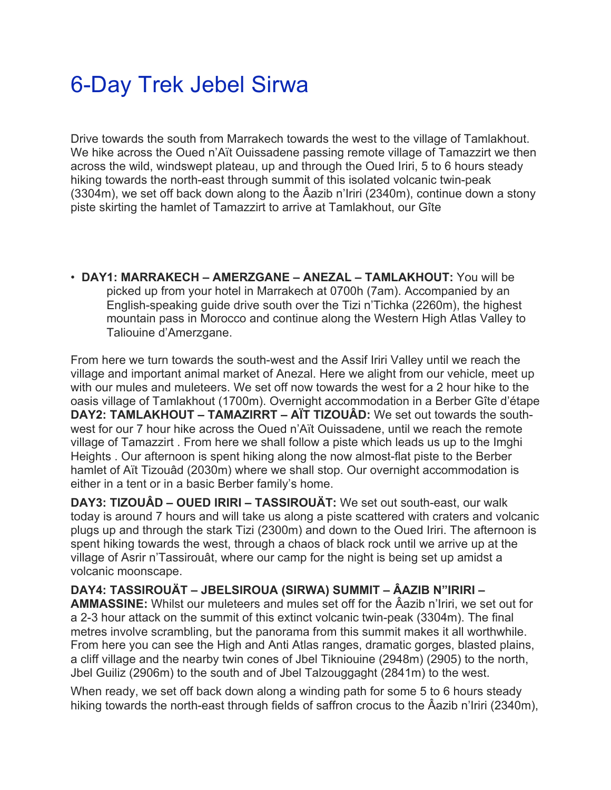## 6-Day Trek Jebel Sirwa

Drive towards the south from Marrakech towards the west to the village of Tamlakhout. We hike across the Oued n'Aït Ouissadene passing remote village of Tamazzirt we then across the wild, windswept plateau, up and through the Oued Iriri, 5 to 6 hours steady hiking towards the north-east through summit of this isolated volcanic twin-peak (3304m), we set off back down along to the Âazib n'Iriri (2340m), continue down a stony piste skirting the hamlet of Tamazzirt to arrive at Tamlakhout, our Gîte

• **DAY1: MARRAKECH – AMERZGANE – ANEZAL – TAMLAKHOUT:** You will be picked up from your hotel in Marrakech at 0700h (7am). Accompanied by an English-speaking guide drive south over the Tizi n'Tichka (2260m), the highest mountain pass in Morocco and continue along the Western High Atlas Valley to Taliouine d'Amerzgane.

From here we turn towards the south-west and the Assif Iriri Valley until we reach the village and important animal market of Anezal. Here we alight from our vehicle, meet up with our mules and muleteers. We set off now towards the west for a 2 hour hike to the oasis village of Tamlakhout (1700m). Overnight accommodation in a Berber Gîte d'étape **DAY2: TAMLAKHOUT – TAMAZIRRT – AÏT TIZOUÂD:** We set out towards the southwest for our 7 hour hike across the Oued n'Aït Ouissadene, until we reach the remote village of Tamazzirt . From here we shall follow a piste which leads us up to the Imghi Heights . Our afternoon is spent hiking along the now almost-flat piste to the Berber hamlet of Aït Tizouâd (2030m) where we shall stop. Our overnight accommodation is either in a tent or in a basic Berber family's home.

**DAY3: TIZOUÂD – OUED IRIRI – TASSIROUÄT:** We set out south-east, our walk today is around 7 hours and will take us along a piste scattered with craters and volcanic plugs up and through the stark Tizi (2300m) and down to the Oued Iriri. The afternoon is spent hiking towards the west, through a chaos of black rock until we arrive up at the village of Asrir n'Tassirouât, where our camp for the night is being set up amidst a volcanic moonscape.

**DAY4: TASSIROUÄT – JBELSIROUA (SIRWA) SUMMIT – ÂAZIB N"IRIRI – AMMASSINE:** Whilst our muleteers and mules set off for the Âazib n'Iriri, we set out for a 2-3 hour attack on the summit of this extinct volcanic twin-peak (3304m). The final metres involve scrambling, but the panorama from this summit makes it all worthwhile. From here you can see the High and Anti Atlas ranges, dramatic gorges, blasted plains, a cliff village and the nearby twin cones of Jbel Tikniouine (2948m) (2905) to the north, Jbel Guiliz (2906m) to the south and of Jbel Talzouggaght (2841m) to the west.

When ready, we set off back down along a winding path for some 5 to 6 hours steady hiking towards the north-east through fields of saffron crocus to the Âazib n'Iriri (2340m),